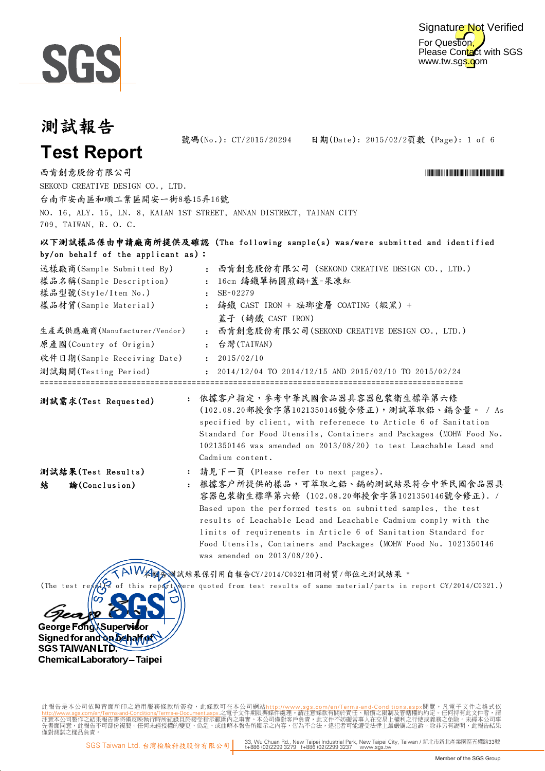



號碼(No.): CT/2015/20294 日期(Date): 2015/02/2頁數 (Page): 1 of 6

**Test Report**

結 論(Conclusion)

George Fong Supervis Signed for and on behalf of

Chemical Laboratory - Taipei

**SGS TAIWAN LTD:** 

Digitally signed by ww.

西肯創意股份有限公司 \*CT/2015/2020年 \*CT/2020年 \*CT/2020年 \*CT/2020年 \*CT/2020年 \*CT/2020年 \*CT/2020年 \*CT/2020年 \*CT/2020年 \*CT/2020 SEKOND CREATIVE DESIGN CO., LTD. 台南市安南區和順工業區開安一街8巷15弄16號 NO. 16, ALY. 15, LN. 8, KAIAN 1ST STREET, ANNAN DISTRECT, TAINAN CITY 709, TAIWAN, R. O. C.

#### 以下測試樣品係由申請廠商所提供及確認 (The following sample(s) was/were submitted and identified by/on behalf of the applicant as):

| 送樣廠商(Sample Submitted By)    | 西肯創意股份有限公司 (SEKOND CREATIVE DESIGN CO., LTD.)<br>$\mathbf{r}$ |
|------------------------------|---------------------------------------------------------------|
| 樣品名稱(Sample Description)     | : 16cm 鑄鐵單柄圓煎鍋+蓋-果凍紅                                          |
| 樣品型號(Style/Item No.)         | $SE-02279$                                                    |
| 樣品材質(Sample Material)        | : 鑄鐵 CAST IRON + 琺瑯塗層 COATING (緞黑) +                          |
|                              | 蓋子 (鑄鐵 CAST IRON)                                             |
| 生產或供應廠商(Manufacturer/Vendor) | 西肯創意股份有限公司(SEKOND CREATIVE DESIGN CO., LTD.)<br>$\mathbf{r}$  |
| 原產國(Country of Origin)       | : 台灣(TAIWAN)                                                  |
| 收件日期(Sample Receiving Date)  | 2015/02/10                                                    |
| 測試期間(Testing Period)         | $\pm$ 2014/12/04 TO 2014/12/15 AND 2015/02/10 TO 2015/02/24   |

測試需求(Test Requested) : 依據客户指定,參考中華民國食品器具容器包裝衛生標準第六條 (102.08.20部授食字第1021350146號令修正),測試萃取鉛、鎘含量。 / As specified by client, with referenece to Article 6 of Sanitation Standard for Food Utensils, Containers and Packages (MOHW Food No. 1021350146 was amended on 2013/08/20) to test Leachable Lead and Cadmium content. 測試結果(Test Results)

#### : 請見下一頁 (Please refer to next pages).

: 根據客戶所提供的樣品,可萃取之鉛、鎘的測試結果符合中華民國食品器具 容器包裝衛生標準第六條 (102.08.20部授食字第1021350146號令修正). / Based upon the performed tests on submitted samples, the test results of Leachable Lead and Leachable Cadmium comply with the limits of requirements in Article 6 of Sanitation Standard for Food Utensils, Containers and Packages (MOHW Food No. 1021350146 was amended on 2013/08/20).

\* 本報告測試結果係引用自報告CY/2014/C0321相同材質/部位之測試結果 \*

(The test results of this report were quoted from test results of same material/parts in report CY/2014/C0321.)

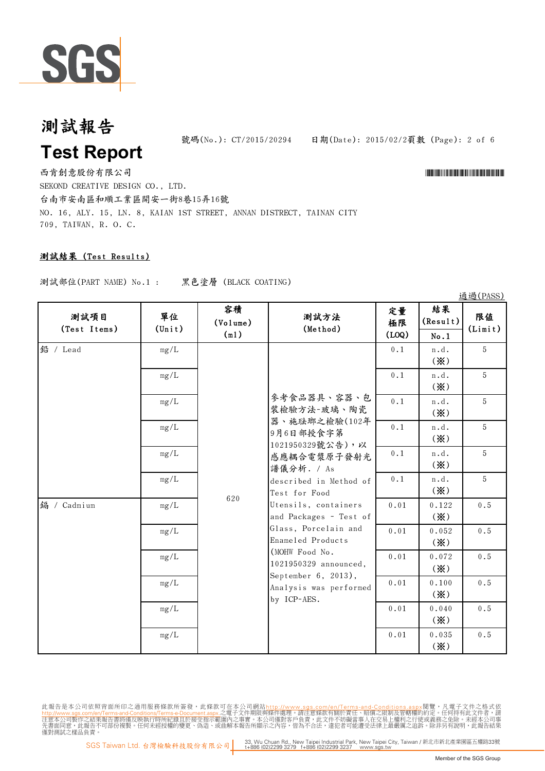

**Test Report**

日期(Date): 2015/02/2頁數 (Page): 2 of 6 號碼(No.):  $CT/2015/20294$ 

西肯創意股份有限公司 \*CT/2015/2020年 \*CT/2020年 \*CT/2020年 \*CT/2020年 \*CT/2020年 \*CT/2020年 \*CT/2020年 \*CT/2020年 \*CT/2020年 \*CT/2020 SEKOND CREATIVE DESIGN CO., LTD. 台南市安南區和順工業區開安一街8巷15弄16號 NO. 16, ALY. 15, LN. 8, KAIAN 1ST STREET, ANNAN DISTRECT, TAINAN CITY 709, TAIWAN, R. O. C.

### 測試結果 (Test Results)

測試部位(PART NAME) No.1 : 黑色塗層 (BLACK COATING)

|                      |                          |                        |                                                                                                                                                                                                                                                                                                                                                                |                   |                                      | <b>西西(LY22)</b> |
|----------------------|--------------------------|------------------------|----------------------------------------------------------------------------------------------------------------------------------------------------------------------------------------------------------------------------------------------------------------------------------------------------------------------------------------------------------------|-------------------|--------------------------------------|-----------------|
| 测試項目<br>(Test Items) | 單位<br>$(\text{Unit})$    | 容積<br>(Volume)<br>(m1) | 測試方法<br>(Method)                                                                                                                                                                                                                                                                                                                                               | 定量<br>極限<br>(LOQ) | 結果<br>(Result)<br>No.1               | 限值<br>(Limit)   |
| 鉛 / Lead             | mg/L                     | 620                    | 參考食品器具、容器、包<br>裝檢驗方法-玻璃、陶瓷<br>器、施珐瑯之檢驗(102年<br>9月6日部授食字第<br>1021950329號公告),以<br>感應耦合電漿原子發射光<br>譜儀分析. / As<br>described in Method of<br>Test for Food<br>Utensils, containers<br>and Packages - Test of<br>Glass, Porcelain and<br>Enameled Products<br>(MOHW Food No.<br>1021950329 announced,<br>September 6, 2013),<br>Analysis was performed<br>by ICP-AES. | 0.1               | n.d.<br>$(\mathbf{\%})$              | 5               |
|                      | mg/L                     |                        |                                                                                                                                                                                                                                                                                                                                                                | 0.1               | n.d.<br>$(\mathbf{\divideontimes})$  | 5               |
|                      | mg/L                     |                        |                                                                                                                                                                                                                                                                                                                                                                | 0.1               | n.d.<br>$(\mathbf{\%})$              | 5               |
|                      | mg/L                     |                        |                                                                                                                                                                                                                                                                                                                                                                | 0.1               | n.d.<br>$(\mathbf{\%})$              | 5               |
|                      | mg/L                     |                        |                                                                                                                                                                                                                                                                                                                                                                | 0.1               | n.d.<br>$(\mathbf{\%})$              | 5               |
|                      | mg/L                     |                        |                                                                                                                                                                                                                                                                                                                                                                | 0.1               | n.d.<br>$(\mathbf{\%})$              | 5               |
| 鎘 / Cadmium          | mg/L                     |                        |                                                                                                                                                                                                                                                                                                                                                                | 0.01              | 0.122<br>$(\mathbf{\%})$             | 0.5             |
|                      | mg/L                     |                        |                                                                                                                                                                                                                                                                                                                                                                | $0\,.\,0\,1$      | 0.052<br>$(\mathbf{\%})$             | $0.5\,$         |
|                      | mg/L                     |                        |                                                                                                                                                                                                                                                                                                                                                                | 0.01              | 0.072<br>$(\mathbf{\divideontimes})$ | $0.5$           |
|                      | $\mathrm{mg}/\mathrm{L}$ |                        |                                                                                                                                                                                                                                                                                                                                                                | 0.01              | 0.100<br>$(\mathbf{\divideontimes})$ | $0.5$           |
|                      | mg/L                     |                        |                                                                                                                                                                                                                                                                                                                                                                | 0.01              | 0.040<br>$(\mathbf{\%})$             | $0.5$           |
|                      | mg/L                     |                        |                                                                                                                                                                                                                                                                                                                                                                | 0.01              | 0.035<br>$(\mathbf{\%})$             | 0.5             |

此報告是本公司依照背面所印之通用服務條款所簽發,此條款可在本公司網站<u>http://www.sgs.com/en/Terms-and-Conditions.asp</u>x閲覽,凡電子文件之格式依<br>h<mark>ttp://www.sgs.com/en/Terms-and-Conditions/Terms-e-Document.aspx.之電子文件期限與條件處理。請注意條款有關於責任、賠償之限制及管轄權的約定。任何持有此文件者,請<br>注意本公司製作之結果報</mark>

 $23.28$  (DACC)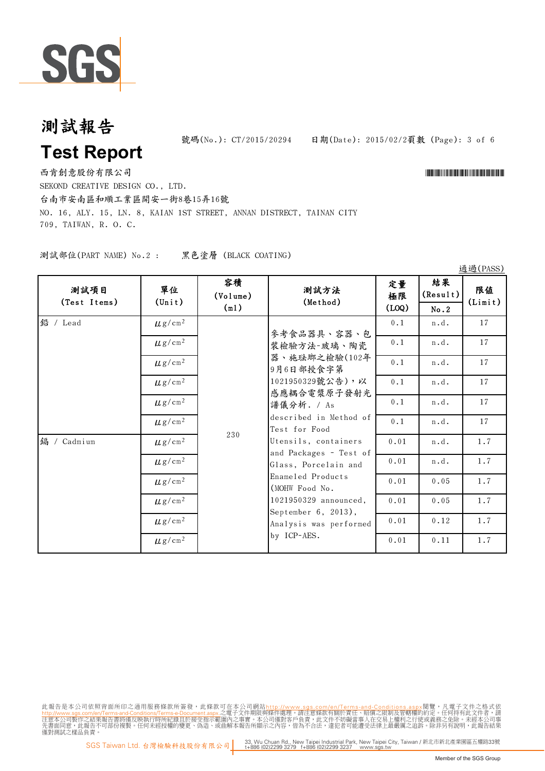

## 測試報告 **Test Report**

日期(Date): 2015/02/2頁數 (Page): 3 of 6 號碼(No.):  $CT/2015/20294$ 

西肯創意股份有限公司 \*CT/2015/2020年 \*CT/2020年 \*CT/2020年 \*CT/2020年 \*CT/2020年 \*CT/2020年 \*CT/2020年 \*CT/2020年 \*CT/2020年 \*CT/2020 SEKOND CREATIVE DESIGN CO., LTD. 台南市安南區和順工業區開安一街8巷15弄16號 NO. 16, ALY. 15, LN. 8, KAIAN 1ST STREET, ANNAN DISTRECT, TAINAN CITY 709, TAIWAN, R. O. C.

測試部位(PART NAME) No.2 : 黑色塗層 (BLACK COATING)

| 測試項目<br>(Test Items) | 單位<br>$(\text{Unit})$   | 容積<br>(Volume)<br>(m1) | 測試方法<br>(Method)                                                                                                                                                                                                                                                                                                                                               | 定量<br>極限<br>$($ LOQ $)$ | 結果<br>(Result)<br>No.2 | 限值<br>(Limit) |
|----------------------|-------------------------|------------------------|----------------------------------------------------------------------------------------------------------------------------------------------------------------------------------------------------------------------------------------------------------------------------------------------------------------------------------------------------------------|-------------------------|------------------------|---------------|
| 鉛 / Lead             | $\mu$ g/cm <sup>2</sup> | 230                    | 參考食品器具、容器、包<br>裝檢驗方法-玻璃、陶瓷<br>器、施珐瑯之檢驗(102年<br>9月6日部授食字第<br>1021950329號公告),以<br>感應耦合電漿原子發射光<br>譜儀分析. / As<br>described in Method of<br>Test for Food<br>Utensils, containers<br>and Packages - Test of<br>Glass, Porcelain and<br>Enameled Products<br>(MOHW Food No.<br>1021950329 announced,<br>September 6, 2013),<br>Analysis was performed<br>by ICP-AES. | 0.1                     | n.d.                   | 17            |
|                      | $\mu$ g/cm <sup>2</sup> |                        |                                                                                                                                                                                                                                                                                                                                                                | 0.1                     | n.d.                   | 17            |
|                      | $\mu$ g/cm <sup>2</sup> |                        |                                                                                                                                                                                                                                                                                                                                                                | 0.1                     | n.d.                   | 17            |
|                      | $\mu$ g/cm <sup>2</sup> |                        |                                                                                                                                                                                                                                                                                                                                                                | 0.1                     | n.d.                   | 17            |
|                      | $\mu$ g/cm <sup>2</sup> |                        |                                                                                                                                                                                                                                                                                                                                                                | 0.1                     | n.d.                   | 17            |
|                      | $\mu$ g/cm <sup>2</sup> |                        |                                                                                                                                                                                                                                                                                                                                                                | 0.1                     | n.d.                   | 17            |
| 鎘 / Cadmium          | $\mu$ g/cm <sup>2</sup> |                        |                                                                                                                                                                                                                                                                                                                                                                | 0.01                    | n.d.                   | 1.7           |
|                      | $\mu$ g/cm <sup>2</sup> |                        |                                                                                                                                                                                                                                                                                                                                                                | 0.01                    | n.d.                   | 1.7           |
|                      | $\mu$ g/cm <sup>2</sup> |                        |                                                                                                                                                                                                                                                                                                                                                                | 0.01                    | 0.05                   | 1.7           |
|                      | $\mu$ g/cm <sup>2</sup> |                        |                                                                                                                                                                                                                                                                                                                                                                | 0.01                    | 0.05                   | 1.7           |
|                      | $\mu$ g/cm <sup>2</sup> |                        |                                                                                                                                                                                                                                                                                                                                                                | 0.01                    | 0.12                   | 1.7           |
|                      | $\mu$ g/cm <sup>2</sup> |                        |                                                                                                                                                                                                                                                                                                                                                                | 0.01                    | 0.11                   | 1.7           |

此報告是本公司依照背面所印之通用服務條款所簽發,此條款可在本公司網站<u>http://www.sgs.com/en/Terms-and-Conditions.asp</u>x閲覽,凡電子文件之格式依<br>h<mark>ttp://www.sgs.com/en/Terms-and-Conditions/Terms-e-Document.aspx.之電子文件期限與條件處理。請注意條款有關於責任、賠償之限制及管轄權的約定。任何持有此文件者,請<br>注意本公司製作之結果報</mark>

通過(PASS)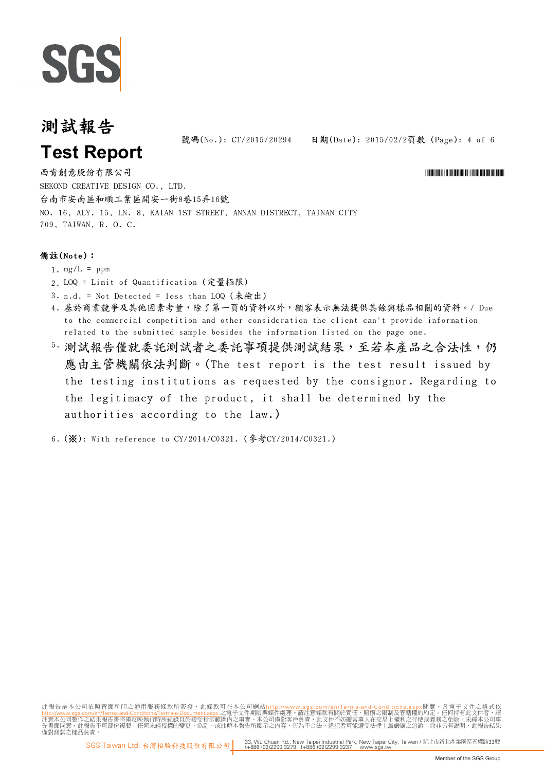

日期(Date): 2015/02/2頁數 (Page): 4 of 6 號碼(No.):  $CT/2015/20294$ 

**Test Report**

西肯創意股份有限公司 \*CT/2015/2020年 \*CT/2020年 \*CT/2020年 \*CT/2020年 \*CT/2020年 \*CT/2020年 \*CT/2020年 \*CT/2020年 \*CT/2020年 \*CT/2020 SEKOND CREATIVE DESIGN CO., LTD. 台南市安南區和順工業區開安一街8巷15弄16號 NO. 16, ALY. 15, LN. 8, KAIAN 1ST STREET, ANNAN DISTRECT, TAINAN CITY 709, TAIWAN, R. O. C.

#### 備註(Note):

- 1.  $mg/L = ppm$
- 2. LOQ = Limit of Quantification (定量極限)
- 3. n.d. = Not Detected = less than LOQ (未檢出)
- 4. 基於商業競爭及其他因素考量,除了第一頁的資料以外,顧客表示無法提供其餘與樣品相關的資料。/ Due to the commercial competition and other consideration the client can't provide information related to the submitted sample besides the information listed on the page one.
- 5. 測試報告僅就委託測試事項提供測試結果,至若本產品之合法性,仍 應由主管機關依法判斷。(The test report is the test result issued by the testing institutions as requested by the consignor. Regarding to the legitimacy of the product, it shall be determined by the authorities according to the law.)

6. (※): With reference to CY/2014/C0321. (參考CY/2014/C0321.)

此報告是本公司依照背面所印之通用服務條款所簽發,此條款可在本公司網站<u>http://www.sgs.com/en/Terms-and-Conditions.asp</u>x閲覽,凡電子文件之格式依<br>h<mark>ttp://www.sgs.com/en/Terms-and-Conditions/Terms-e-Document.aspx.之電子文件期限與條件處理。請注意條款有關於責任、賠償之限制及管轄權的約定。任何持有此文件者,請<br>注意本公司製作之結果報</mark>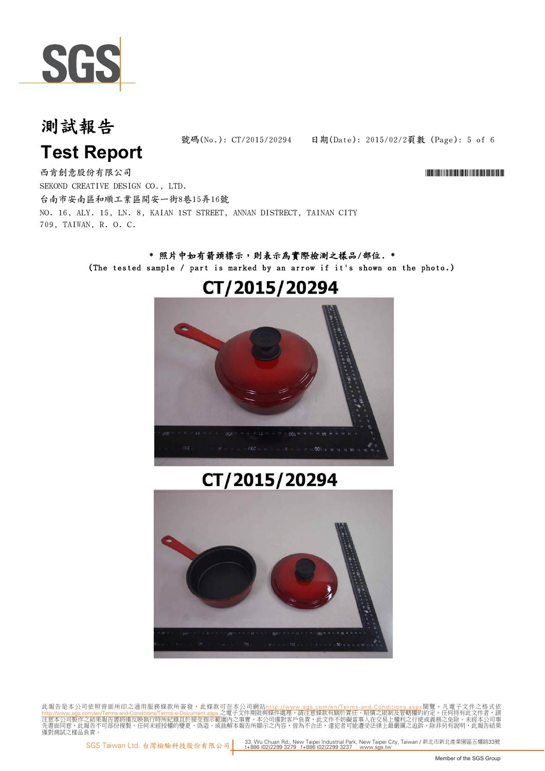

日期(Date): 2015/02/2頁數 (Page): 5 of 6 號碼(No.): CT/2015/20294

# **Test Report**

西肯創意股份有限公司 \*CT/2015/2020年 \*CT/2020年 \*CT/2020年 \*CT/2020年 \*CT/2020年 \*CT/2020年 \*CT/2020年 \*CT/2020年 \*CT/2020年 \*CT/2020 SEKOND CREATIVE DESIGN CO., LTD. 台南市安南區和順工業區開安一街8巷15弄16號 NO. 16, ALY. 15, LN. 8, KAIAN 1ST STREET, ANNAN DISTRECT, TAINAN CITY 709, TAIWAN, R. O. C.

### \* 照片中如有箭頭標示,則表示為實際檢測之樣品/部位. \* (The tested sample / part is marked by an arrow if it's shown on the photo.)

### CT/2015/20294



## CT/2015/20294



此報告是本公司依照背面所印之通用服務條款所簽發,此條款可在本公司網站<u>http://www.sgs.com/en/Terms-and-Conditions.asp</u>x閲覽,凡電子文件之格式依<br>h<mark>ttp://www.sgs.com/en/Terms-and-Conditions/Terms-e-Document.aspx.之電子文件期限與條件處理。請注意條款有關於責任、賠償之限制及管轄權的約定。任何持有此文件者,請<br>注意本公司製作之結果報</mark>